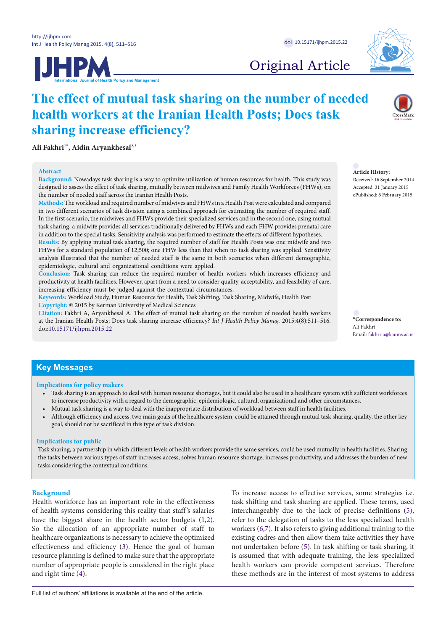



# Original Article

# **The effect of mutual task sharing on the number of needed health workers at the Iranian Health Posts; Does task sharing increase efficiency?**

**Ali Fakhr[i1](#page-4-0)[\\*](#page-0-0) , Aidin Aryankhesa[l2](#page-4-1)[,3](#page-4-2)**

### **Abstract**

**Background:** Nowadays task sharing is a way to optimize utilization of human resources for health. This study was designed to assess the effect of task sharing, mutually between midwives and Family Health Workforces (FHWs), on the number of needed staff across the Iranian Health Posts.

**Methods:** The workload and required number of midwives and FHWs in a Health Post were calculated and compared in two different scenarios of task division using a combined approach for estimating the number of required staff. In the first scenario, the midwives and FHWs provide their specialized services and in the second one, using mutual task sharing, a midwife provides all services traditionally delivered by FHWs and each FHW provides prenatal care in addition to the special tasks. Sensitivity analysis was performed to estimate the effects of different hypotheses.

**Results:** By applying mutual task sharing, the required number of staff for Health Posts was one midwife and two FHWs for a standard population of 12,500; one FHW less than that when no task sharing was applied. Sensitivity analysis illustrated that the number of needed staff is the same in both scenarios when different demographic, epidemiologic, cultural and organizational conditions were applied.

**Conclusion:** Task sharing can reduce the required number of health workers which increases efficiency and productivity at health facilities. However, apart from a need to consider quality, acceptability, and feasibility of care, increasing efficiency must be judged against the contextual circumstances.

**Keywords:** Workload Study, Human Resource for Health, Task Shifting, Task Sharing, Midwife, Health Post **Copyright:** © 2015 by Kerman University of Medical Sciences

**Citation:** Fakhri A, Aryankhesal A. The effect of mutual task sharing on the number of needed health workers at the Iranian Health Posts; Does task sharing increase efficiency? *Int J Health Policy Manag.* 2015;4(8):511–516. doi:[10.15171/ijhpm.2015.22](http://dx.doi.org/10.15171/ijhpm.2015.22)

## **Article History:**

Received: 16 September 2014 Accepted: 31 January 2015 ePublished: 6 February 2015

<span id="page-0-0"></span>**\*Correspondence to:** Ali Fakhri Email: fakhri-a@kaums.ac.ir

# **Key Messages**

### **Implications for policy makers**

- Task sharing is an approach to deal with human resource shortages, but it could also be used in a healthcare system with sufficient workforces to increase productivity with a regard to the demographic, epidemiologic, cultural, organizational and other circumstances.
- Mutual task sharing is a way to deal with the inappropriate distribution of workload between staff in health facilities.
- Although efficiency and access, two main goals of the healthcare system, could be attained through mutual task sharing, quality, the other key goal, should not be sacrificed in this type of task division.

### **Implications for public**

Task sharing, a partnership in which different levels of health workers provide the same services, could be used mutually in health facilities. Sharing the tasks between various types of staff increases access, solves human resource shortage, increases productivity, and addresses the burden of new tasks considering the contextual conditions.

## **Background**

Health workforce has an important role in the effectiveness of health systems considering this reality that staff 's salaries have the biggest share in the health sector budgets ([1,](#page-5-0)[2\)](#page-4-3). So the allocation of an appropriate number of staff to healthcare organizations is necessary to achieve the optimized effectiveness and efficiency ([3\)](#page-4-4). Hence the goal of human resource planning is defined to make sure that the appropriate number of appropriate people is considered in the right place and right time [\(4](#page-5-1)).

To increase access to effective services, some strategies i.e. task shifting and task sharing are applied. These terms, used interchangeably due to the lack of precise definitions [\(5](#page-5-2)), refer to the delegation of tasks to the less specialized health workers [\(6](#page-5-3),[7](#page-5-4)). It also refers to giving additional training to the existing cadres and then allow them take activities they have not undertaken before ([5](#page-5-2)). In task shifting or task sharing, it is assumed that with adequate training, the less specialized health workers can provide competent services. Therefore these methods are in the interest of most systems to address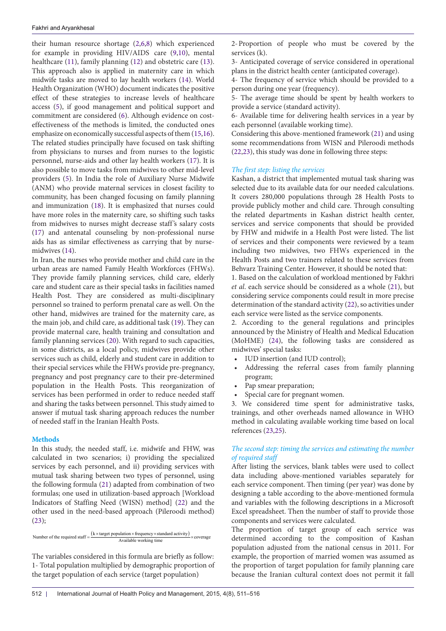their human resource shortage [\(2](#page-4-3)[,6](#page-5-3)[,8](#page-5-5)) which experienced for example in providing HIV/AIDS care ([9,](#page-5-6)[10\)](#page-5-7), mental healthcare ([11](#page-5-8)), family planning ([12](#page-5-9)) and obstetric care ([13\)](#page-5-10). This approach also is applied in maternity care in which midwife tasks are moved to lay health workers [\(14\)](#page-5-11). World Health Organization (WHO) document indicates the positive effect of these strategies to increase levels of healthcare access ([5](#page-5-2)), if good management and political support and commitment are considered ([6\)](#page-5-3). Although evidence on costeffectiveness of the methods is limited, the conducted ones emphasize on economically successful aspects of them [\(15,](#page-5-12)[16\)](#page-5-13). The related studies principally have focused on task shifting from physicians to nurses and from nurses to the logistic personnel, nurse-aids and other lay health workers [\(17\)](#page-5-14). It is also possible to move tasks from midwives to other mid-level providers [\(5](#page-5-2)). In India the role of Auxiliary Nurse Midwife (ANM) who provide maternal services in closest facility to community, has been changed focusing on family planning and immunization [\(18\)](#page-5-15). It is emphasized that nurses could have more roles in the maternity care, so shifting such tasks from midwives to nurses might decrease staff 's salary costs ([17\)](#page-5-14) and antenatal counseling by non-professional nurse aids has as similar effectiveness as carrying that by nursemidwives [\(14\)](#page-5-11).

In Iran, the nurses who provide mother and child care in the urban areas are named Family Health Workforces (FHWs). They provide family planning services, child care, elderly care and student care as their special tasks in facilities named Health Post. They are considered as multi-disciplinary personnel so trained to perform prenatal care as well. On the other hand, midwives are trained for the maternity care, as the main job, and child care, as additional task [\(19\)](#page-5-16). They can provide maternal care, health training and consultation and family planning services ([20](#page-5-17)). With regard to such capacities, in some districts, as a local policy, midwives provide other services such as child, elderly and student care in addition to their special services while the FHWs provide pre-pregnancy, pregnancy and post pregnancy care to their pre-determined population in the Health Posts. This reorganization of services has been performed in order to reduce needed staff and sharing the tasks between personnel. This study aimed to answer if mutual task sharing approach reduces the number of needed staff in the Iranian Health Posts.

## **Methods**

In this study, the needed staff, i.e. midwife and FHW, was calculated in two scenarios; i) providing the specialized services by each personnel, and ii) providing services with mutual task sharing between two types of personnel, using the following formula ([21](#page-5-18)) adapted from combination of two formulas; one used in utilization-based approach [Workload Indicators of Staffing Need (WISN) method] [\(22](#page-5-19)) and the other used in the need-based approach (Pileroodi method) ([23\)](#page-5-20);

Number of the required staff =  $\frac{(k \times \text{target population} \times \text{frequency} \times \text{standard activity})}{\text{Available working time}} \times \text{coverage}$ 

The variables considered in this formula are briefly as follow: 1- Total population multiplied by demographic proportion of the target population of each service (target population)

2-Proportion of people who must be covered by the services (k).

3- Anticipated coverage of service considered in operational plans in the district health center (anticipated coverage).

4- The frequency of service which should be provided to a person during one year (frequency).

5- The average time should be spent by health workers to provide a service (standard activity).

6- Available time for delivering health services in a year by each personnel (available working time).

Considering this above-mentioned framework ([21\)](#page-5-18) and using some recommendations from WISN and Pileroodi methods [\(22](#page-5-19)[,23\)](#page-5-20), this study was done in following three steps:

## *The first step: listing the services*

Kashan, a district that implemented mutual task sharing was selected due to its available data for our needed calculations. It covers 280,000 populations through 28 Health Posts to provide publicly mother and child care. Through consulting the related departments in Kashan district health center, services and service components that should be provided by FHW and midwife in a Health Post were listed. The list of services and their components were reviewed by a team including two midwives, two FHWs experienced in the Health Posts and two trainers related to these services from Behvarz Training Center. However, it should be noted that:

1. Based on the calculation of workload mentioned by Fakhri *et al*. each service should be considered as a whole [\(21\)](#page-5-18), but considering service components could result in more precise determination of the standard activity ([22](#page-5-19)), so activities under each service were listed as the service components.

2. According to the general regulations and principles announced by the Ministry of Health and Medical Education (MoHME) [\(24\)](#page-5-21), the following tasks are considered as midwives' special tasks:

- IUD insertion (and IUD control);
- Addressing the referral cases from family planning program;
- Pap smear preparation;
- Special care for pregnant women.

3. We considered time spent for administrative tasks, trainings, and other overheads named allowance in WHO method in calculating available working time based on local references [\(23,](#page-5-20)[25\)](#page-5-22).

## *The second step: timing the services and estimating the number of required staff*

After listing the services, blank tables were used to collect data including above-mentioned variables separately for each service component. Then timing (per year) was done by designing a table according to the above-mentioned formula and variables with the following descriptions in a Microsoft Excel spreadsheet. Then the number of staff to provide those components and services were calculated.

The proportion of target group of each service was determined according to the composition of Kashan population adjusted from the national census in 2011. For example, the proportion of married women was assumed as the proportion of target population for family planning care because the Iranian cultural context does not permit it fall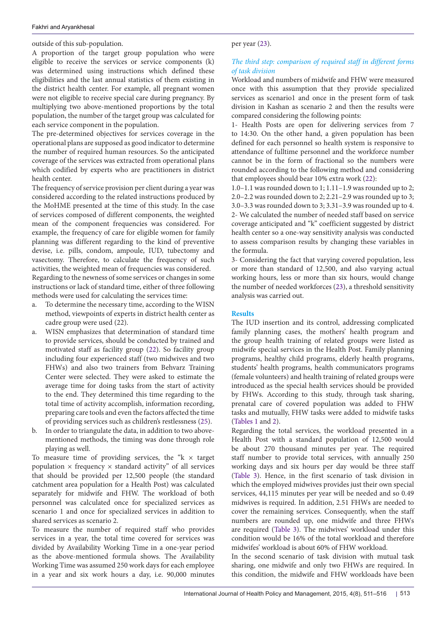outside of this sub-population.

A proportion of the target group population who were eligible to receive the services or service components (k) was determined using instructions which defined these eligibilities and the last annual statistics of them existing in the district health center. For example, all pregnant women were not eligible to receive special care during pregnancy. By multiplying two above-mentioned proportions by the total population, the number of the target group was calculated for each service component in the population.

The pre-determined objectives for services coverage in the operational plans are supposed as good indicator to determine the number of required human resources. So the anticipated coverage of the services was extracted from operational plans which codified by experts who are practitioners in district health center.

The frequency of service provision per client during a year was considered according to the related instructions produced by the MoHME presented at the time of this study. In the case of services composed of different components, the weighted mean of the component frequencies was considered. For example, the frequency of care for eligible women for family planning was different regarding to the kind of preventive devise, i.e. pills, condom, ampoule, IUD, tubectomy and vasectomy. Therefore, to calculate the frequency of such activities, the weighted mean of frequencies was considered. Regarding to the newness of some services or changes in some

instructions or lack of standard time, either of three following methods were used for calculating the services time:

- a. To determine the necessary time, according to the WISN method, viewpoints of experts in district health center as cadre group were used [\(22\)](#page-5-19).
- WISN emphasizes that determination of standard time to provide services, should be conducted by trained and motivated staff as facility group ([22\)](#page-5-19). So facility group including four experienced staff (two midwives and two FHWs) and also two trainers from Behvarz Training Center were selected. They were asked to estimate the average time for doing tasks from the start of activity to the end. They determined this time regarding to the total time of activity accomplish, information recording, preparing care tools and even the factors affected the time of providing services such as children's restlessness ([25](#page-5-22)).
- b. In order to triangulate the data, in addition to two abovementioned methods, the timing was done through role playing as well.

To measure time of providing services, the " $k \times$  target population  $\times$  frequency  $\times$  standard activity" of all services that should be provided per 12,500 people (the standard catchment area population for a Health Post) was calculated separately for midwife and FHW. The workload of both personnel was calculated once for specialized services as scenario 1 and once for specialized services in addition to shared services as scenario 2.

To measure the number of required staff who provides services in a year, the total time covered for services was divided by Availability Working Time in a one-year period as the above-mentioned formula shows. The Availability Working Time was assumed 250 work days for each employee in a year and six work hours a day, i.e. 90,000 minutes

# per year [\(23\)](#page-5-20).

# *The third step: comparison of required staff in different forms of task division*

Workload and numbers of midwife and FHW were measured once with this assumption that they provide specialized services as scenario1 and once in the present form of task division in Kashan as scenario 2 and then the results were compared considering the following points:

1- Health Posts are open for delivering services from 7 to 14:30. On the other hand, a given population has been defined for each personnel so health system is responsive to attendance of fulltime personnel and the workforce number cannot be in the form of fractional so the numbers were rounded according to the following method and considering that employees should bear 10% extra work ([22\)](#page-5-19):

1.0–1.1 was rounded down to 1; 1.11–1.9 was rounded up to 2; 2.0–2.2 was rounded down to 2; 2.21–2.9 was rounded up to 3; 3.0–3.3 was rounded down to 3; 3.31–3.9 was rounded up to 4. 2- We calculated the number of needed staff based on service coverage anticipated and "k" coefficient suggested by district health center so a one-way sensitivity analysis was conducted to assess comparison results by changing these variables in the formula.

3- Considering the fact that varying covered population, less or more than standard of 12,500, and also varying actual working hours, less or more than six hours, would change the number of needed workforces [\(23\)](#page-5-20), a threshold sensitivity analysis was carried out.

## **Results**

The IUD insertion and its control, addressing complicated family planning cases, the mothers' health program and the group health training of related groups were listed as midwife special services in the Health Post. Family planning programs, healthy child programs, elderly health programs, students' health programs, health communicators programs (female volunteers) and health training of related groups were introduced as the special health services should be provided by FHWs. According to this study, through task sharing, prenatal care of covered population was added to FHW tasks and mutually, FHW tasks were added to midwife tasks [\(Tables 1](#page-3-0) and [2\)](#page-3-1).

Regarding the total services, the workload presented in a Health Post with a standard population of 12,500 would be about 270 thousand minutes per year. The required staff number to provide total services, with annually 250 working days and six hours per day would be three staff [\(Table 3](#page-3-2)). Hence, in the first scenario of task division in which the employed midwives provides just their own special services, 44,115 minutes per year will be needed and so 0.49 midwives is required. In addition, 2.51 FHWs are needed to cover the remaining services. Consequently, when the staff numbers are rounded up, one midwife and three FHWs are required [\(Table 3](#page-3-2)). The midwives' workload under this condition would be 16% of the total workload and therefore midwifes' workload is about 60% of FHW workload.

In the second scenario of task division with mutual task sharing, one midwife and only two FHWs are required. In this condition, the midwife and FHW workloads have been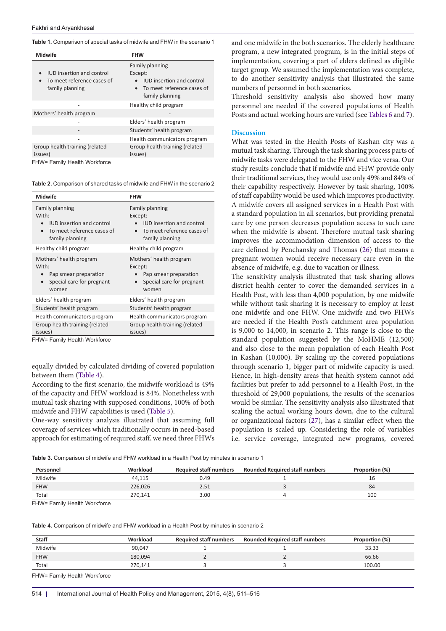<span id="page-3-0"></span>**Table 1.** Comparison of special tasks of midwife and FHW in the scenario 1

| Family planning                                                                              |  |
|----------------------------------------------------------------------------------------------|--|
| Except:<br><b>IUD</b> insertion and control<br>To meet reference cases of<br>family planning |  |
| Healthy child program                                                                        |  |
|                                                                                              |  |
| Elders' health program                                                                       |  |
| Students' health program                                                                     |  |
| Health communicators program                                                                 |  |
| Group health training (related<br>issues)                                                    |  |
|                                                                                              |  |

<span id="page-3-1"></span>**Table 2.** Comparison of shared tasks of midwife and FHW in the scenario 2

| Family planning<br>Family planning<br>With:<br>Except:<br><b>IUD</b> insertion and control<br><b>IUD</b> insertion and control<br>To meet reference cases of<br>To meet reference cases of           |  |
|------------------------------------------------------------------------------------------------------------------------------------------------------------------------------------------------------|--|
| family planning<br>family planning                                                                                                                                                                   |  |
| Healthy child program<br>Healthy child program                                                                                                                                                       |  |
| Mothers' health program<br>Mothers' health program<br>With:<br>Except:<br>Pap smear preparation<br>Pap smear preparation<br>Special care for pregnant<br>Special care for pregnant<br>women<br>women |  |
| Elders' health program<br>Elders' health program                                                                                                                                                     |  |
| Students' health program<br>Students' health program                                                                                                                                                 |  |
| Health communicators program<br>Health communicators program                                                                                                                                         |  |
| Group health training (related<br>Group health training (related<br>issues)<br>issues)<br>FHW= Family Health Workforce                                                                               |  |

FHW= Family Health Workforce

equally divided by calculated dividing of covered population between them ([Table 4\)](#page-3-3).

According to the first scenario, the midwife workload is 49% of the capacity and FHW workload is 84%. Nonetheless with mutual task sharing with supposed conditions, 100% of both midwife and FHW capabilities is used [\(Table 5\)](#page-4-7).

One-way sensitivity analysis illustrated that assuming full coverage of services which traditionally occurs in need-based approach for estimating of required staff, we need three FHWs and one midwife in the both scenarios. The elderly healthcare program, a new integrated program, is in the initial steps of implementation, covering a part of elders defined as eligible target group. We assumed the implementation was complete, to do another sensitivity analysis that illustrated the same numbers of personnel in both scenarios.

Threshold sensitivity analysis also showed how many personnel are needed if the covered populations of Health Posts and actual working hours are varied (see [Tables 6](#page-4-5) and [7](#page-4-6)).

#### **Discussion**

What was tested in the Health Posts of Kashan city was a mutual task sharing. Through the task sharing process parts of midwife tasks were delegated to the FHW and vice versa. Our study results conclude that if midwife and FHW provide only their traditional services, they would use only 49% and 84% of their capability respectively. However by task sharing, 100% of staff capability would be used which improves productivity. A midwife covers all assigned services in a Health Post with a standard population in all scenarios, but providing prenatal care by one person decreases population access to such care when the midwife is absent. Therefore mutual task sharing improves the accommodation dimension of access to the care defined by Penchansky and Thomas ([26](#page-5-23)) that means a pregnant women would receive necessary care even in the absence of midwife, e.g. due to vacation or illness.

The sensitivity analysis illustrated that task sharing allows district health center to cover the demanded services in a Health Post, with less than 4,000 population, by one midwife while without task sharing it is necessary to employ at least one midwife and one FHW. One midwife and two FHWs are needed if the Health Post's catchment area population is 9,000 to 14,000, in scenario 2. This range is close to the standard population suggested by the MoHME (12,500) and also close to the mean population of each Health Post in Kashan (10,000). By scaling up the covered populations through scenario 1, bigger part of midwife capacity is used. Hence, in high-density areas that health system cannot add facilities but prefer to add personnel to a Health Post, in the threshold of 29,000 populations, the results of the scenarios would be similar. The sensitivity analysis also illustrated that scaling the actual working hours down, due to the cultural or organizational factors [\(27\)](#page-5-24), has a similar effect when the population is scaled up. Considering the role of variables i.e. service coverage, integrated new programs, covered

<span id="page-3-2"></span>**Table 3.** Comparison of midwife and FHW workload in a Health Post by minutes in scenario 1

| Personnel  | Workload | <b>Required staff numbers</b> | <b>Rounded Required staff numbers</b> | Proportion (%) |
|------------|----------|-------------------------------|---------------------------------------|----------------|
| Midwife    | 44.115   | 0.49                          |                                       | 16             |
| <b>FHW</b> | 226,026  | 2.51                          |                                       | 84             |
| Total      | 270.141  | 3.00                          |                                       | 100            |

FHW= Family Health Workforce

<span id="page-3-3"></span>**Table 4.** Comparison of midwife and FHW workload in a Health Post by minutes in scenario 2

| Staff      | Workload | <b>Required staff numbers</b> | <b>Rounded Required staff numbers</b> | Proportion (%) |
|------------|----------|-------------------------------|---------------------------------------|----------------|
| Midwife    | 90,047   |                               |                                       | 33.33          |
| <b>FHW</b> | 180,094  |                               |                                       | 66.66          |
| Total      | 270.141  |                               |                                       | 100.00         |

FHW= Family Health Workforce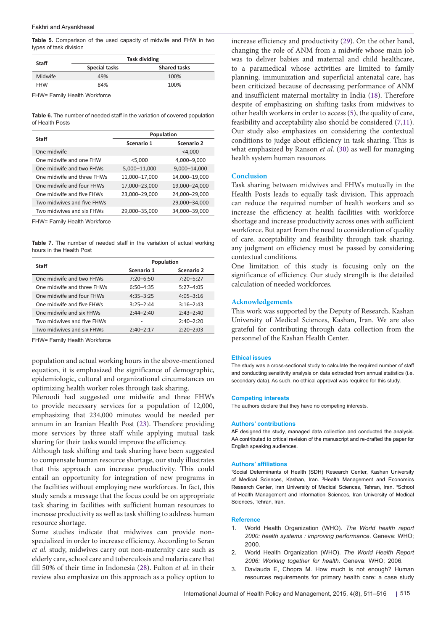<span id="page-4-7"></span>**Table 5.** Comparison of the used capacity of midwife and FHW in two types of task division

| Staff      | <b>Task dividing</b> |                     |  |
|------------|----------------------|---------------------|--|
|            | <b>Special tasks</b> | <b>Shared tasks</b> |  |
| Midwife    | 49%                  | 100%                |  |
| <b>FHW</b> | 84%                  | 100%                |  |

FHW= Family Health Workforce

<span id="page-4-5"></span>**Table 6.** The number of needed staff in the variation of covered population of Health Posts

| Staff                      | Population    |               |  |
|----------------------------|---------------|---------------|--|
|                            | Scenario 1    | Scenario 2    |  |
| One midwife                |               | $<$ 4,000     |  |
| One midwife and one FHW    | $<$ 5,000     | 4,000-9,000   |  |
| One midwife and two FHWs   | 5,000-11,000  | 9,000-14,000  |  |
| One midwife and three FHWs | 11,000-17,000 | 14,000-19,000 |  |
| One midwife and four FHWs  | 17,000-23,000 | 19,000-24,000 |  |
| One midwife and five FHWs  | 23,000-29,000 | 24,000-29,000 |  |
| Two midwives and five FHWs |               | 29,000-34,000 |  |
| Two midwives and six FHWs  | 29,000-35,000 | 34,000-39,000 |  |

FHW= Family Health Workforce

<span id="page-4-6"></span>**Table 7.** The number of needed staff in the variation of actual working hours in the Health Post

| Staff                      | Population    |               |
|----------------------------|---------------|---------------|
|                            | Scenario 1    | Scenario 2    |
| One midwife and two FHWs   | $7:20 - 6:50$ | $7:20 - 5:27$ |
| One midwife and three FHWs | $6:50 - 4:35$ | $5:27 - 4:05$ |
| One midwife and four FHWs  | $4:35 - 3:25$ | $4:05 - 3:16$ |
| One midwife and five FHWs  | $3:25 - 2:44$ | $3:16 - 2:43$ |
| One midwife and six FHWs   | $2:44 - 2:40$ | $2:43 - 2:40$ |
| Two midwives and five FHWs |               | $2:40 - 2:20$ |
| Two midwives and six FHWs  | $2:40 - 2:17$ | $2:20 - 2:03$ |

FHW= Family Health Workforce

population and actual working hours in the above-mentioned equation, it is emphasized the significance of demographic, epidemiologic, cultural and organizational circumstances on optimizing health worker roles through task sharing.

Pileroodi had suggested one midwife and three FHWs to provide necessary services for a population of 12,000, emphasizing that 234,000 minutes would be needed per annum in an Iranian Health Post ([23\)](#page-5-20). Therefore providing more services by three staff while applying mutual task sharing for their tasks would improve the efficiency.

Although task shifting and task sharing have been suggested to compensate human resource shortage, our study illustrates that this approach can increase productivity. This could entail an opportunity for integration of new programs in the facilities without employing new workforces. In fact, this study sends a message that the focus could be on appropriate task sharing in facilities with sufficient human resources to increase productivity as well as task shifting to address human resource shortage.

Some studies indicate that midwives can provide nonspecialized in order to increase efficiency. According to Seran *et al.* study, midwives carry out non-maternity care such as elderly care, school care and tuberculosis and malaria care that fill 50% of their time in Indonesia ([28](#page-5-25)). Fulton *et al*. in their review also emphasize on this approach as a policy option to

increase efficiency and productivity ([29\)](#page-5-26). On the other hand, changing the role of ANM from a midwife whose main job was to deliver babies and maternal and child healthcare, to a paramedical whose activities are limited to family planning, immunization and superficial antenatal care, has been criticized because of decreasing performance of ANM and insufficient maternal mortality in India ([18](#page-5-15)). Therefore despite of emphasizing on shifting tasks from midwives to other health workers in order to access [\(5](#page-5-2)), the quality of care, feasibility and acceptability also should be considered [\(7](#page-5-4)[,11](#page-5-8)). Our study also emphasizes on considering the contextual conditions to judge about efficiency in task sharing. This is what emphasized by Ranson *et al*. ([30](#page-5-27)) as well for managing health system human resources.

## **Conclusion**

Task sharing between midwives and FHWs mutually in the Health Posts leads to equally task division. This approach can reduce the required number of health workers and so increase the efficiency at health facilities with workforce shortage and increase productivity across ones with sufficient workforce. But apart from the need to consideration of quality of care, acceptability and feasibility through task sharing, any judgment on efficiency must be passed by considering contextual conditions.

One limitation of this study is focusing only on the significance of efficiency. Our study strength is the detailed calculation of needed workforces.

## **Acknowledgements**

This work was supported by the Deputy of Research, Kashan University of Medical Sciences, Kashan, Iran. We are also grateful for contributing through data collection from the personnel of the Kashan Health Center.

#### **Ethical issues**

The study was a cross-sectional study to calculate the required number of staff and conducting sensitivity analysis on data extracted from annual statistics (i.e. secondary data). As such, no ethical approval was required for this study.

#### **Competing interests**

The authors declare that they have no competing interests.

#### **Authors' contributions**

AF designed the study, managed data collection and conducted the analysis. AA contributed to critical revision of the manuscript and re-drafted the paper for English speaking audiences.

#### **Authors' affiliations**

<span id="page-4-2"></span><span id="page-4-1"></span><span id="page-4-0"></span>1 Social Determinants of Health (SDH) Research Center, Kashan University of Medical Sciences, Kashan, Iran. <sup>2</sup> Health Management and Economics Research Center, Iran University of Medical Sciences, Tehran, Iran. <sup>3</sup>School of Health Management and Information Sciences, Iran University of Medical Sciences, Tehran, Iran.

## **Reference**

- 1. World Health Organization (WHO). *The World health report 2000: health systems : improving performance*. Geneva: WHO; 2000.
- <span id="page-4-3"></span>2. World Health Organization (WHO). *The World Health Report 2006: Working together for health*. Geneva: WHO; 2006.
- <span id="page-4-4"></span>3. Daviauda E, Chopra M. How much is not enough? Human resources requirements for primary health care: a case study